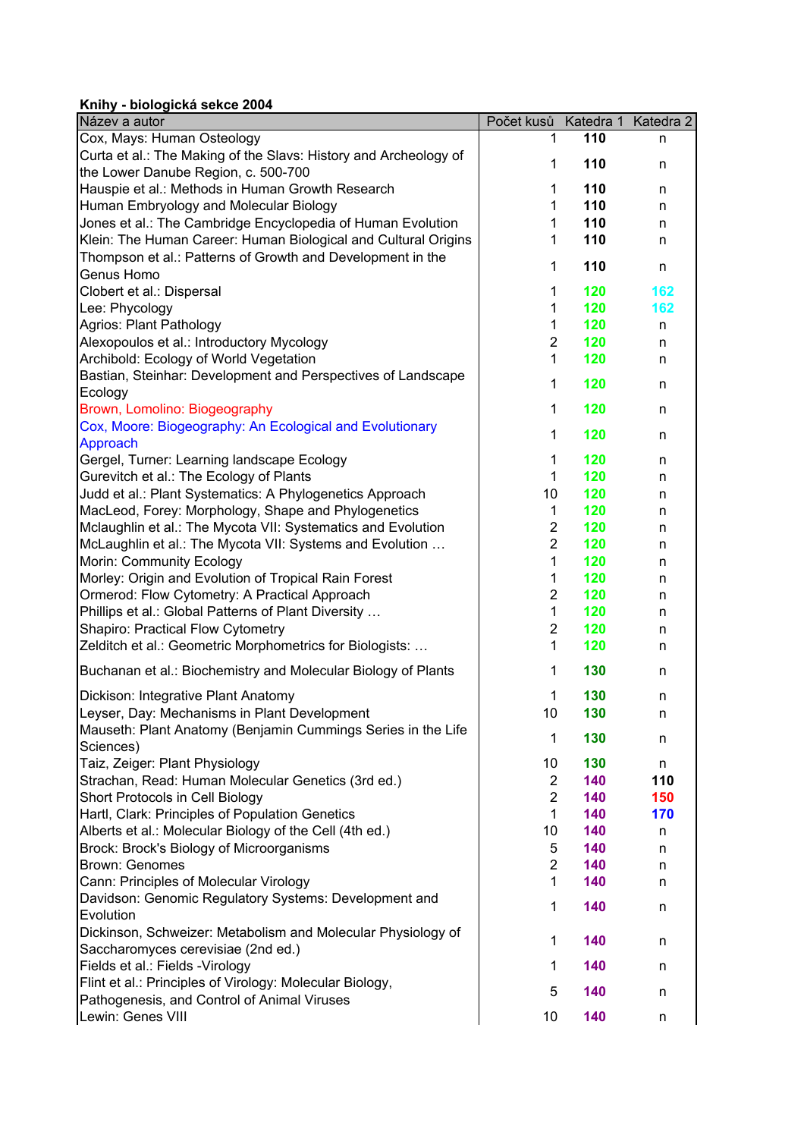## **Knihy - biologická sekce 2004**

| Název a autor                                                             | Počet kusů Katedra 1 Katedra 2 |     |     |
|---------------------------------------------------------------------------|--------------------------------|-----|-----|
| Cox, Mays: Human Osteology                                                | 1.                             | 110 | n   |
| Curta et al.: The Making of the Slavs: History and Archeology of          | 1                              | 110 |     |
| the Lower Danube Region, c. 500-700                                       |                                |     | n   |
| Hauspie et al.: Methods in Human Growth Research                          | 1                              | 110 | n   |
| Human Embryology and Molecular Biology                                    | $\mathbf{1}$                   | 110 | n   |
| Jones et al.: The Cambridge Encyclopedia of Human Evolution               | 1                              | 110 | n   |
| Klein: The Human Career: Human Biological and Cultural Origins            | 1                              | 110 | n   |
| Thompson et al.: Patterns of Growth and Development in the                | $\mathbf{1}$                   | 110 | n   |
| Genus Homo                                                                |                                |     |     |
| Clobert et al.: Dispersal                                                 | 1                              | 120 | 162 |
| Lee: Phycology                                                            | 1                              | 120 | 162 |
| Agrios: Plant Pathology                                                   | $\mathbf{1}$                   | 120 | n   |
| Alexopoulos et al.: Introductory Mycology                                 | $\overline{2}$                 | 120 | n   |
| Archibold: Ecology of World Vegetation                                    | $\mathbf{1}$                   | 120 | n   |
| Bastian, Steinhar: Development and Perspectives of Landscape              | $\mathbf{1}$                   | 120 | n   |
| Ecology                                                                   |                                |     |     |
| Brown, Lomolino: Biogeography                                             | $\mathbf{1}$                   | 120 | n   |
| Cox, Moore: Biogeography: An Ecological and Evolutionary                  | $\mathbf{1}$                   | 120 | n   |
| Approach                                                                  |                                |     |     |
| Gergel, Turner: Learning landscape Ecology                                | $\mathbf{1}$                   | 120 | n   |
| Gurevitch et al.: The Ecology of Plants                                   | $\mathbf{1}$                   | 120 | n   |
| Judd et al.: Plant Systematics: A Phylogenetics Approach                  | 10                             | 120 | n   |
| MacLeod, Forey: Morphology, Shape and Phylogenetics                       | $\mathbf{1}$                   | 120 | n   |
| Mclaughlin et al.: The Mycota VII: Systematics and Evolution              | $\overline{2}$                 | 120 | n   |
| McLaughlin et al.: The Mycota VII: Systems and Evolution                  | $\overline{2}$                 | 120 | n   |
| Morin: Community Ecology                                                  | 1                              | 120 | n   |
| Morley: Origin and Evolution of Tropical Rain Forest                      | $\mathbf{1}$                   | 120 | n   |
| Ormerod: Flow Cytometry: A Practical Approach                             | $\overline{2}$                 | 120 | n   |
| Phillips et al.: Global Patterns of Plant Diversity                       | $\mathbf{1}$                   | 120 | n   |
| Shapiro: Practical Flow Cytometry                                         | $\overline{2}$                 | 120 | n   |
| Zelditch et al.: Geometric Morphometrics for Biologists:                  | $\mathbf{1}$                   | 120 | n   |
| Buchanan et al.: Biochemistry and Molecular Biology of Plants             | $\mathbf{1}$                   | 130 | n   |
| Dickison: Integrative Plant Anatomy                                       | 1                              | 130 | n   |
| Leyser, Day: Mechanisms in Plant Development                              | 10                             | 130 | n   |
| Mauseth: Plant Anatomy (Benjamin Cummings Series in the Life              |                                |     |     |
| Sciences)                                                                 | 1                              | 130 | n   |
| Taiz, Zeiger: Plant Physiology                                            | 10                             | 130 | n   |
| Strachan, Read: Human Molecular Genetics (3rd ed.)                        | $\overline{2}$                 | 140 | 110 |
| Short Protocols in Cell Biology                                           | $\overline{2}$                 | 140 | 150 |
| Hartl, Clark: Principles of Population Genetics                           | $\mathbf 1$                    | 140 | 170 |
| Alberts et al.: Molecular Biology of the Cell (4th ed.)                   | 10                             | 140 | n   |
| Brock: Brock's Biology of Microorganisms                                  | 5                              | 140 | n   |
| Brown: Genomes                                                            | $\overline{2}$                 | 140 | n   |
| Cann: Principles of Molecular Virology                                    | $\mathbf{1}$                   | 140 | n   |
| Davidson: Genomic Regulatory Systems: Development and                     | $\mathbf{1}$                   | 140 | n   |
| Evolution<br>Dickinson, Schweizer: Metabolism and Molecular Physiology of |                                |     |     |
| Saccharomyces cerevisiae (2nd ed.)                                        | 1                              | 140 | n   |
| Fields et al.: Fields - Virology                                          | 1                              | 140 | n   |
| Flint et al.: Principles of Virology: Molecular Biology,                  | 5                              | 140 | n   |
| Pathogenesis, and Control of Animal Viruses<br>Lewin: Genes VIII          | 10                             | 140 | n   |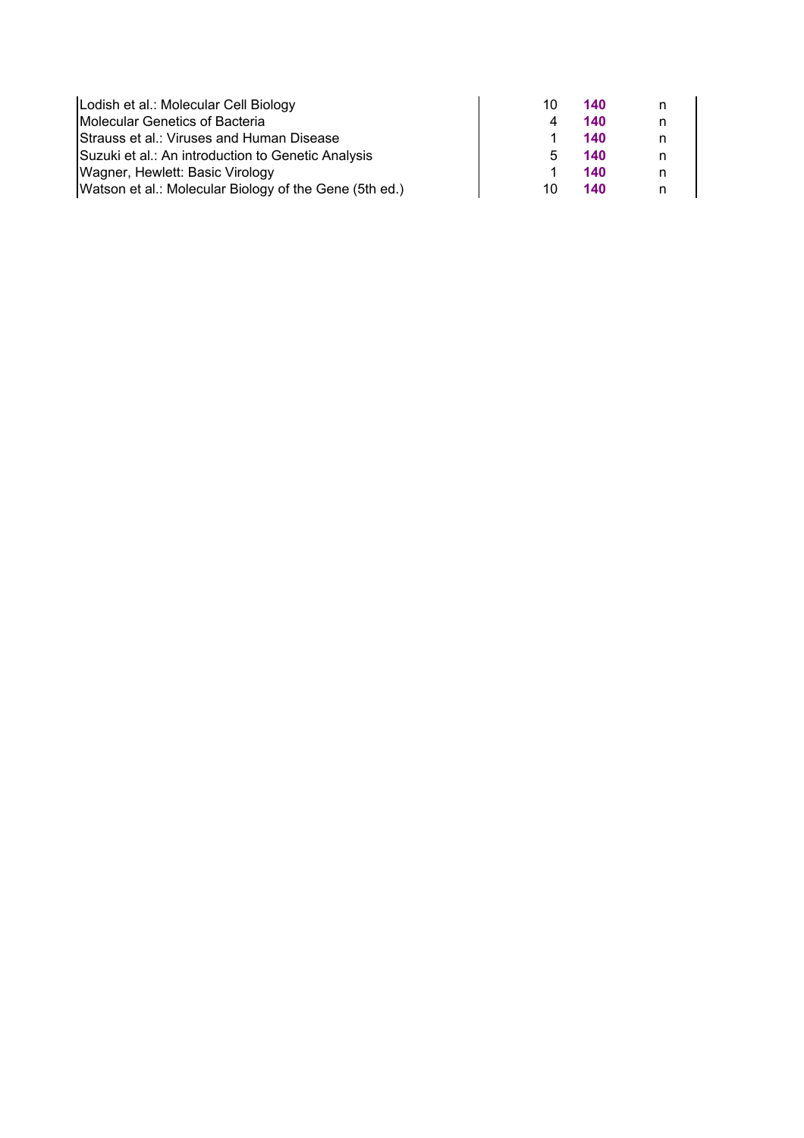| Lodish et al.: Molecular Cell Biology                  | 10  | 140 |  |
|--------------------------------------------------------|-----|-----|--|
| Molecular Genetics of Bacteria                         |     | 140 |  |
| Strauss et al.: Viruses and Human Disease              |     | 140 |  |
| Suzuki et al.: An introduction to Genetic Analysis     | ٠.  | 140 |  |
| Wagner, Hewlett: Basic Virology                        |     | 140 |  |
| Watson et al.: Molecular Biology of the Gene (5th ed.) | 10. | 140 |  |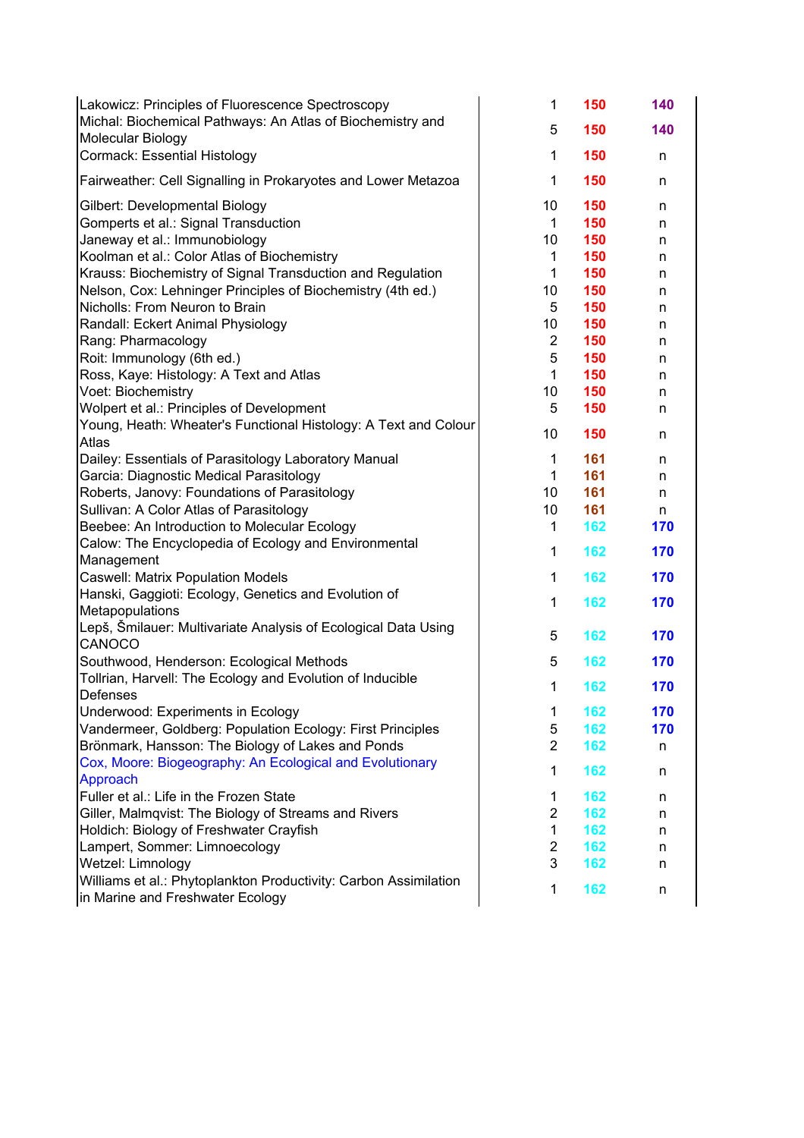| Lakowicz: Principles of Fluorescence Spectroscopy<br>Michal: Biochemical Pathways: An Atlas of Biochemistry and<br>Molecular Biology | 1<br>5                  | 150<br>150 | 140<br>140 |
|--------------------------------------------------------------------------------------------------------------------------------------|-------------------------|------------|------------|
| Cormack: Essential Histology                                                                                                         | $\mathbf{1}$            | 150        | n.         |
| Fairweather: Cell Signalling in Prokaryotes and Lower Metazoa                                                                        | $\mathbf 1$             | 150        | n          |
| Gilbert: Developmental Biology                                                                                                       | 10                      | 150        | n          |
| Gomperts et al.: Signal Transduction                                                                                                 | 1                       | 150        | n          |
| Janeway et al.: Immunobiology                                                                                                        | 10                      | 150        | n          |
| Koolman et al.: Color Atlas of Biochemistry                                                                                          | 1                       | 150        | n          |
| Krauss: Biochemistry of Signal Transduction and Regulation                                                                           | $\mathbf{1}$            | 150        | n          |
| Nelson, Cox: Lehninger Principles of Biochemistry (4th ed.)                                                                          | 10                      | 150        | n          |
| Nicholls: From Neuron to Brain                                                                                                       | 5                       | 150        | n          |
| Randall: Eckert Animal Physiology                                                                                                    | 10                      | 150        | n          |
| Rang: Pharmacology                                                                                                                   | $\overline{2}$          | 150        | n          |
| Roit: Immunology (6th ed.)                                                                                                           | 5                       | 150        | n          |
| Ross, Kaye: Histology: A Text and Atlas                                                                                              | $\mathbf{1}$            | 150        | n          |
| Voet: Biochemistry                                                                                                                   | 10                      | 150        | n          |
| Wolpert et al.: Principles of Development                                                                                            | 5                       | 150        | n          |
| Young, Heath: Wheater's Functional Histology: A Text and Colour                                                                      | 10                      | 150        | n          |
| Atlas                                                                                                                                |                         |            |            |
| Dailey: Essentials of Parasitology Laboratory Manual                                                                                 | $\mathbf{1}$            | 161        | n          |
| Garcia: Diagnostic Medical Parasitology                                                                                              | $\mathbf{1}$            | 161        | n          |
| Roberts, Janovy: Foundations of Parasitology                                                                                         | 10                      | 161        | n          |
| Sullivan: A Color Atlas of Parasitology                                                                                              | 10                      | 161        | n.         |
| Beebee: An Introduction to Molecular Ecology                                                                                         | $\mathbf{1}$            | 162        | 170        |
| Calow: The Encyclopedia of Ecology and Environmental                                                                                 | $\mathbf{1}$            | 162        | 170        |
| Management                                                                                                                           |                         |            |            |
| <b>Caswell: Matrix Population Models</b>                                                                                             | $\mathbf{1}$            | 162        | 170        |
| Hanski, Gaggioti: Ecology, Genetics and Evolution of<br>Metapopulations                                                              | $\mathbf{1}$            | 162        | 170        |
| Lepš, Šmilauer: Multivariate Analysis of Ecological Data Using                                                                       |                         |            |            |
| CANOCO                                                                                                                               | 5                       | 162        | 170        |
| Southwood, Henderson: Ecological Methods                                                                                             | 5                       | 162        | 170        |
| Tollrian, Harvell: The Ecology and Evolution of Inducible                                                                            |                         |            |            |
| <b>Defenses</b>                                                                                                                      | 1                       | 162        | 170        |
| Underwood: Experiments in Ecology                                                                                                    | 1                       | 162        | 170        |
| Vandermeer, Goldberg: Population Ecology: First Principles                                                                           | 5                       | 162        | 170        |
| Brönmark, Hansson: The Biology of Lakes and Ponds                                                                                    | $\overline{2}$          | 162        | n          |
| Cox, Moore: Biogeography: An Ecological and Evolutionary                                                                             |                         |            |            |
| Approach                                                                                                                             | $\mathbf 1$             | 162        | n          |
| Fuller et al.: Life in the Frozen State                                                                                              | 1                       | 162        | n          |
| Giller, Malmqvist: The Biology of Streams and Rivers                                                                                 | $\overline{2}$          | 162        | n          |
| Holdich: Biology of Freshwater Crayfish                                                                                              | $\mathbf{1}$            | 162        | n          |
| Lampert, Sommer: Limnoecology                                                                                                        | $\overline{\mathbf{c}}$ | 162        | n          |
| Wetzel: Limnology                                                                                                                    | 3                       | 162        | n          |
| Williams et al.: Phytoplankton Productivity: Carbon Assimilation<br>in Marine and Freshwater Ecology                                 | $\mathbf 1$             | 162        | n          |